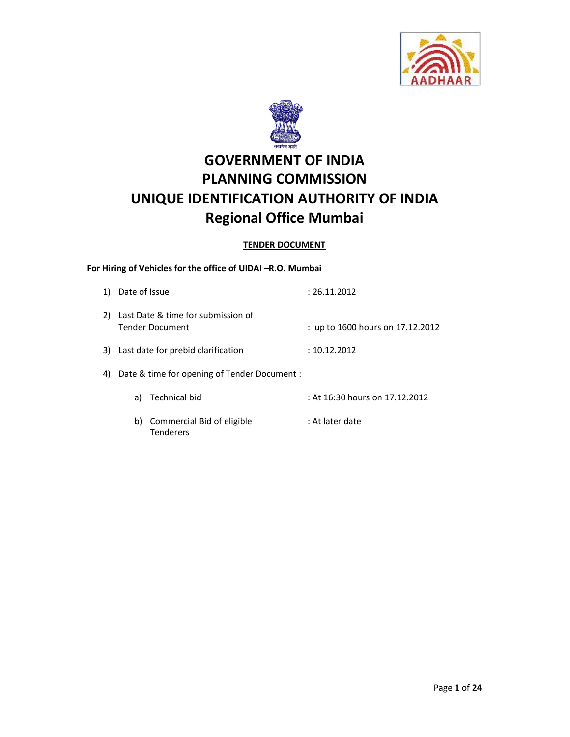



# **GOVERNMENT OF INDIA PLANNING COMMISSION UNIQUE IDENTIFICATION AUTHORITY OF INDIA Regional Office Mumbai**

## **TENDER DOCUMENT**

# **For Hiring of Vehicles for the office of UIDAI –R.O. Mumbai**

| 1)  | Date of Issue                                                | : 26.11.2012                     |
|-----|--------------------------------------------------------------|----------------------------------|
| 2). | Last Date & time for submission of<br><b>Tender Document</b> | : up to 1600 hours on 17.12.2012 |
|     | 3) Last date for prebid clarification                        | : 10.12.2012                     |
| 4)  | Date & time for opening of Tender Document :                 |                                  |
|     | Technical bid<br>a)                                          | : At 16:30 hours on 17.12.2012   |
|     | Commercial Bid of eligible<br>b)<br>Tenderers                | : At later date                  |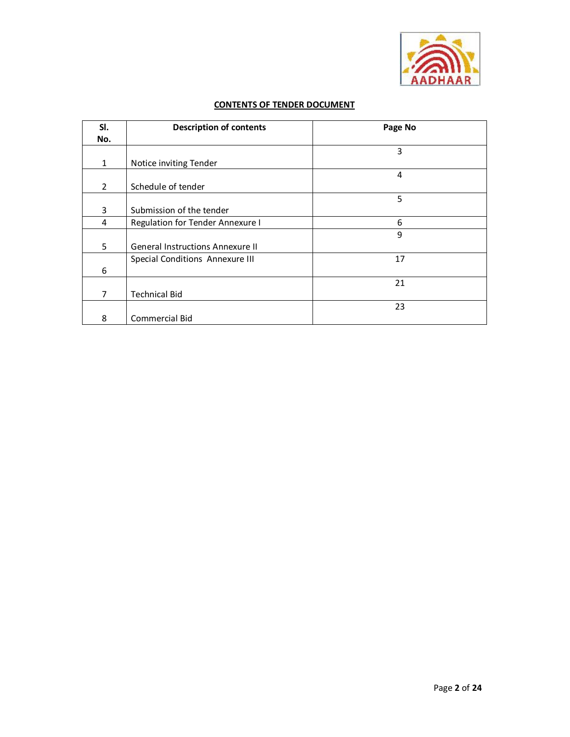

# **CONTENTS OF TENDER DOCUMENT**

| SI.            | <b>Description of contents</b>          | Page No |
|----------------|-----------------------------------------|---------|
| No.            |                                         |         |
|                |                                         | 3       |
| $\mathbf{1}$   | Notice inviting Tender                  |         |
|                |                                         | 4       |
| $\overline{2}$ | Schedule of tender                      |         |
|                |                                         | 5       |
| 3              | Submission of the tender                |         |
| 4              | Regulation for Tender Annexure I        | 6       |
|                |                                         | 9       |
| 5              | <b>General Instructions Annexure II</b> |         |
|                | Special Conditions Annexure III         | 17      |
| 6              |                                         |         |
|                |                                         | 21      |
| 7              | <b>Technical Bid</b>                    |         |
|                |                                         | 23      |
| 8              | <b>Commercial Bid</b>                   |         |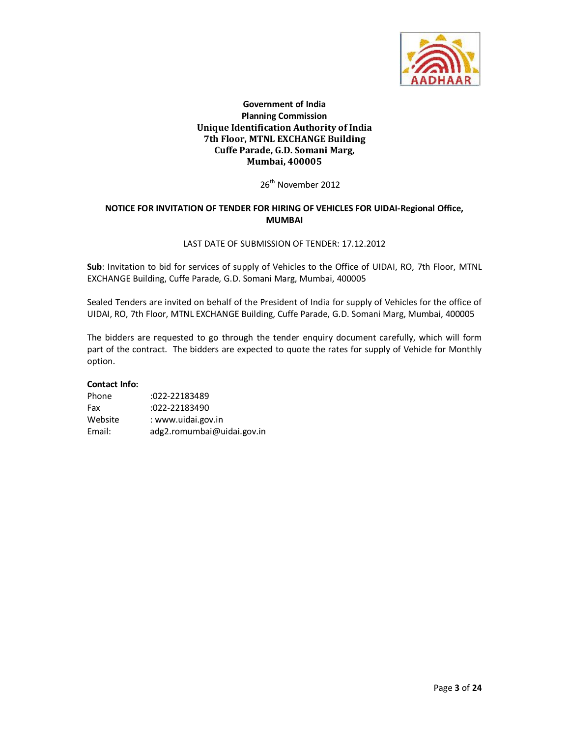

## **Government of India Planning Commission Unique Identification Authority of India 7th Floor, MTNL EXCHANGE Building Cuffe Parade, G.D. Somani Marg, Mumbai, 400005**

26<sup>th</sup> November 2012

## **NOTICE FOR INVITATION OF TENDER FOR HIRING OF VEHICLES FOR UIDAI-Regional Office, MUMBAI**

#### LAST DATE OF SUBMISSION OF TENDER: 17.12.2012

**Sub**: Invitation to bid for services of supply of Vehicles to the Office of UIDAI, RO, 7th Floor, MTNL EXCHANGE Building, Cuffe Parade, G.D. Somani Marg, Mumbai, 400005

Sealed Tenders are invited on behalf of the President of India for supply of Vehicles for the office of UIDAI, RO, 7th Floor, MTNL EXCHANGE Building, Cuffe Parade, G.D. Somani Marg, Mumbai, 400005

The bidders are requested to go through the tender enquiry document carefully, which will form part of the contract. The bidders are expected to quote the rates for supply of Vehicle for Monthly option.

#### **Contact Info:**

| Phone   | :022-22183489              |
|---------|----------------------------|
| Fax     | $:022 - 22183490$          |
| Website | : www.uidai.gov.in         |
| Email:  | adg2.romumbai@uidai.gov.in |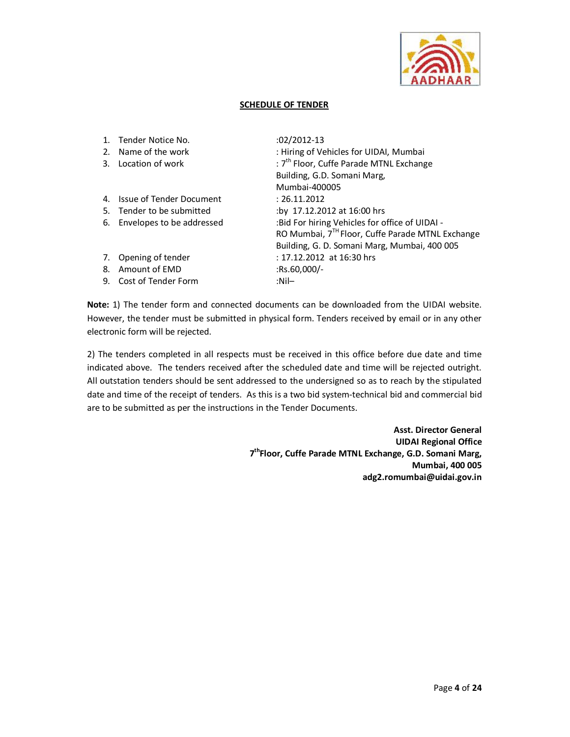

#### **SCHEDULE OF TENDER**

|    | Tender Notice No.         | $:02/2012-13$                                                |
|----|---------------------------|--------------------------------------------------------------|
| 2. | Name of the work          | : Hiring of Vehicles for UIDAI, Mumbai                       |
| 3. | Location of work          | : 7 <sup>th</sup> Floor, Cuffe Parade MTNL Exchange          |
|    |                           | Building, G.D. Somani Marg,                                  |
|    |                           | Mumbai-400005                                                |
| 4. | Issue of Tender Document  | : 26.11.2012                                                 |
| 5. | Tender to be submitted    | :by 17.12.2012 at 16:00 hrs                                  |
| 6. | Envelopes to be addressed | : Bid For hiring Vehicles for office of UIDAI -              |
|    |                           | RO Mumbai, 7 <sup>TH</sup> Floor, Cuffe Parade MTNL Exchange |
|    |                           | Building, G. D. Somani Marg, Mumbai, 400 005                 |
| 7. | Opening of tender         | : 17.12.2012 at 16:30 hrs                                    |
| 8. | Amount of EMD             | $:$ Rs.60,000/-                                              |
| 9. | Cost of Tender Form       | :Nil—                                                        |
|    |                           |                                                              |

**Note:** 1) The tender form and connected documents can be downloaded from the UIDAI website. However, the tender must be submitted in physical form. Tenders received by email or in any other electronic form will be rejected.

2) The tenders completed in all respects must be received in this office before due date and time indicated above. The tenders received after the scheduled date and time will be rejected outright. All outstation tenders should be sent addressed to the undersigned so as to reach by the stipulated date and time of the receipt of tenders. As this is a two bid system-technical bid and commercial bid are to be submitted as per the instructions in the Tender Documents.

> **Asst. Director General UIDAI Regional Office 7 thFloor, Cuffe Parade MTNL Exchange, G.D. Somani Marg, Mumbai, 400 005 adg2.romumbai@uidai.gov.in**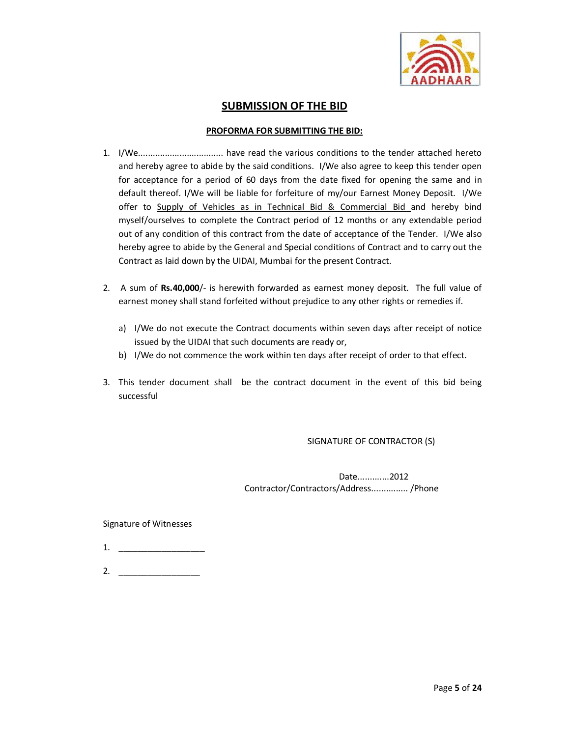

# **SUBMISSION OF THE BID**

#### **PROFORMA FOR SUBMITTING THE BID:**

- 1. I/We................................... have read the various conditions to the tender attached hereto and hereby agree to abide by the said conditions. I/We also agree to keep this tender open for acceptance for a period of 60 days from the date fixed for opening the same and in default thereof. I/We will be liable for forfeiture of my/our Earnest Money Deposit. I/We offer to Supply of Vehicles as in Technical Bid & Commercial Bid and hereby bind myself/ourselves to complete the Contract period of 12 months or any extendable period out of any condition of this contract from the date of acceptance of the Tender. I/We also hereby agree to abide by the General and Special conditions of Contract and to carry out the Contract as laid down by the UIDAI, Mumbai for the present Contract.
- 2. A sum of **Rs.40,000**/- is herewith forwarded as earnest money deposit. The full value of earnest money shall stand forfeited without prejudice to any other rights or remedies if.
	- a) I/We do not execute the Contract documents within seven days after receipt of notice issued by the UIDAI that such documents are ready or,
	- b) I/We do not commence the work within ten days after receipt of order to that effect.
- 3. This tender document shall be the contract document in the event of this bid being successful

## SIGNATURE OF CONTRACTOR (S)

 Date.............2012 Contractor/Contractors/Address............... /Phone

Signature of Witnesses

- 1. \_\_\_\_\_\_\_\_\_\_\_\_\_\_\_\_\_\_
- 2. \_\_\_\_\_\_\_\_\_\_\_\_\_\_\_\_\_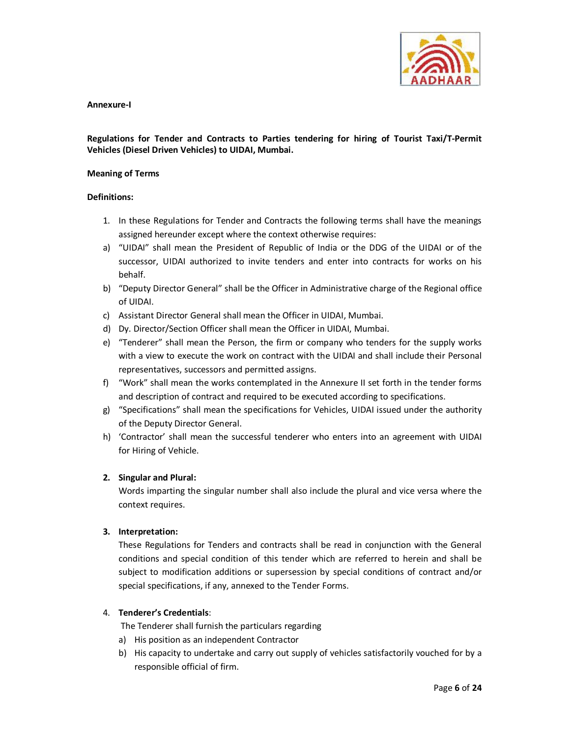

#### **Annexure-I**

## **Regulations for Tender and Contracts to Parties tendering for hiring of Tourist Taxi/T-Permit Vehicles (Diesel Driven Vehicles) to UIDAI, Mumbai.**

#### **Meaning of Terms**

#### **Definitions:**

- 1. In these Regulations for Tender and Contracts the following terms shall have the meanings assigned hereunder except where the context otherwise requires:
- a) "UIDAI" shall mean the President of Republic of India or the DDG of the UIDAI or of the successor, UIDAI authorized to invite tenders and enter into contracts for works on his behalf.
- b) "Deputy Director General" shall be the Officer in Administrative charge of the Regional office of UIDAI.
- c) Assistant Director General shall mean the Officer in UIDAI, Mumbai.
- d) Dy. Director/Section Officer shall mean the Officer in UIDAI, Mumbai.
- e) "Tenderer" shall mean the Person, the firm or company who tenders for the supply works with a view to execute the work on contract with the UIDAI and shall include their Personal representatives, successors and permitted assigns.
- f) "Work" shall mean the works contemplated in the Annexure II set forth in the tender forms and description of contract and required to be executed according to specifications.
- g) "Specifications" shall mean the specifications for Vehicles, UIDAI issued under the authority of the Deputy Director General.
- h) 'Contractor' shall mean the successful tenderer who enters into an agreement with UIDAI for Hiring of Vehicle.

#### **2. Singular and Plural:**

Words imparting the singular number shall also include the plural and vice versa where the context requires.

#### **3. Interpretation:**

These Regulations for Tenders and contracts shall be read in conjunction with the General conditions and special condition of this tender which are referred to herein and shall be subject to modification additions or supersession by special conditions of contract and/or special specifications, if any, annexed to the Tender Forms.

## 4. **Tenderer's Credentials**:

The Tenderer shall furnish the particulars regarding

- a) His position as an independent Contractor
- b) His capacity to undertake and carry out supply of vehicles satisfactorily vouched for by a responsible official of firm.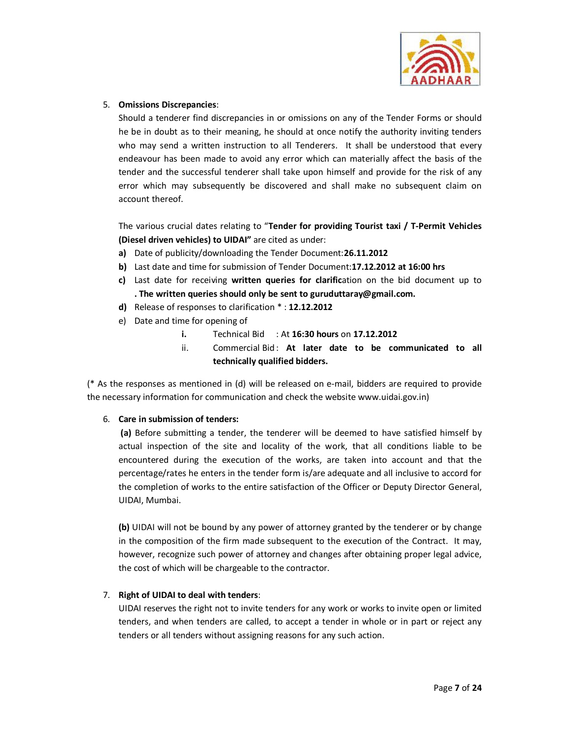

### 5. **Omissions Discrepancies**:

Should a tenderer find discrepancies in or omissions on any of the Tender Forms or should he be in doubt as to their meaning, he should at once notify the authority inviting tenders who may send a written instruction to all Tenderers. It shall be understood that every endeavour has been made to avoid any error which can materially affect the basis of the tender and the successful tenderer shall take upon himself and provide for the risk of any error which may subsequently be discovered and shall make no subsequent claim on account thereof.

The various crucial dates relating to "**Tender for providing Tourist taxi / T-Permit Vehicles (Diesel driven vehicles) to UIDAI"** are cited as under:

- **a)** Date of publicity/downloading the Tender Document:**26.11.2012**
- **b)** Last date and time for submission of Tender Document:**17.12.2012 at 16:00 hrs**
- **c)** Last date for receiving **written queries for clarific**ation on the bid document up to **. The written queries should only be sent to guruduttaray@gmail.com.**
- **d)** Release of responses to clarification \* : **12.12.2012**
- e) Date and time for opening of
	- **i.** Technical Bid : At **16:30 hours** on **17.12.2012**
	- ii. Commercial Bid: At later date to be communicated to all **technically qualified bidders.**

(\* As the responses as mentioned in (d) will be released on e-mail, bidders are required to provide the necessary information for communication and check the website www.uidai.gov.in)

#### 6. **Care in submission of tenders:**

 **(a)** Before submitting a tender, the tenderer will be deemed to have satisfied himself by actual inspection of the site and locality of the work, that all conditions liable to be encountered during the execution of the works, are taken into account and that the percentage/rates he enters in the tender form is/are adequate and all inclusive to accord for the completion of works to the entire satisfaction of the Officer or Deputy Director General, UIDAI, Mumbai.

**(b)** UIDAI will not be bound by any power of attorney granted by the tenderer or by change in the composition of the firm made subsequent to the execution of the Contract. It may, however, recognize such power of attorney and changes after obtaining proper legal advice, the cost of which will be chargeable to the contractor.

#### 7. **Right of UIDAI to deal with tenders**:

UIDAI reserves the right not to invite tenders for any work or works to invite open or limited tenders, and when tenders are called, to accept a tender in whole or in part or reject any tenders or all tenders without assigning reasons for any such action.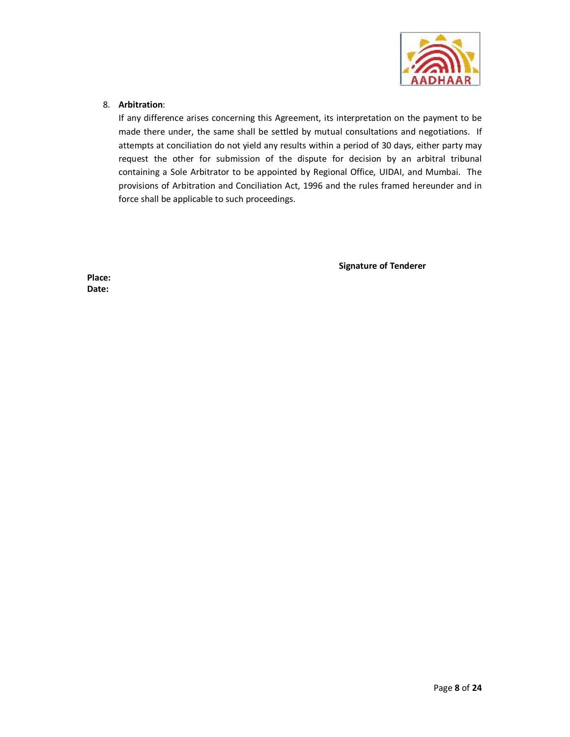

## 8. **Arbitration**:

If any difference arises concerning this Agreement, its interpretation on the payment to be made there under, the same shall be settled by mutual consultations and negotiations. If attempts at conciliation do not yield any results within a period of 30 days, either party may request the other for submission of the dispute for decision by an arbitral tribunal containing a Sole Arbitrator to be appointed by Regional Office, UIDAI, and Mumbai. The provisions of Arbitration and Conciliation Act, 1996 and the rules framed hereunder and in force shall be applicable to such proceedings.

 **Signature of Tenderer** 

**Place: Date:**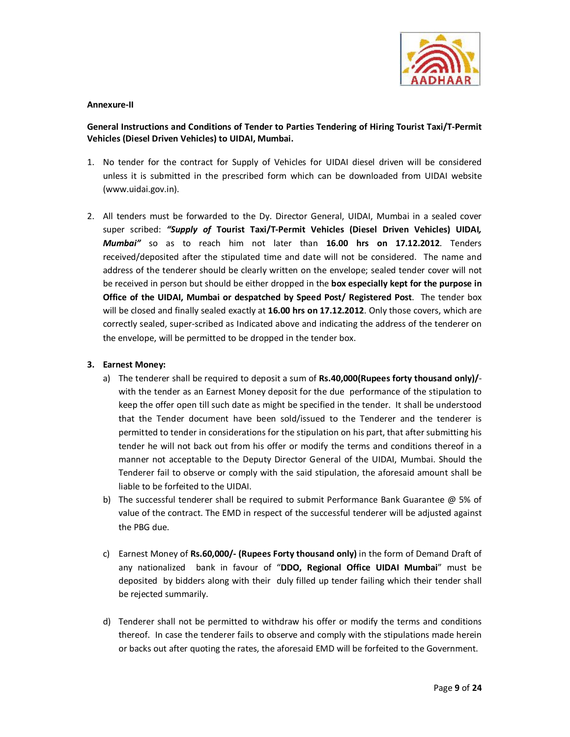

#### **Annexure-II**

## **General Instructions and Conditions of Tender to Parties Tendering of Hiring Tourist Taxi/T-Permit Vehicles (Diesel Driven Vehicles) to UIDAI, Mumbai.**

- 1. No tender for the contract for Supply of Vehicles for UIDAI diesel driven will be considered unless it is submitted in the prescribed form which can be downloaded from UIDAI website (www.uidai.gov.in).
- 2. All tenders must be forwarded to the Dy. Director General, UIDAI, Mumbai in a sealed cover super scribed: *"Supply of* **Tourist Taxi/T-Permit Vehicles (Diesel Driven Vehicles) UIDAI***, Mumbai"* so as to reach him not later than **16.00 hrs on 17.12.2012**. Tenders received/deposited after the stipulated time and date will not be considered. The name and address of the tenderer should be clearly written on the envelope; sealed tender cover will not be received in person but should be either dropped in the **box especially kept for the purpose in Office of the UIDAI, Mumbai or despatched by Speed Post/ Registered Post**. The tender box will be closed and finally sealed exactly at **16.00 hrs on 17.12.2012**. Only those covers, which are correctly sealed, super-scribed as Indicated above and indicating the address of the tenderer on the envelope, will be permitted to be dropped in the tender box.

#### **3. Earnest Money:**

- a) The tenderer shall be required to deposit a sum of **Rs.40,000(Rupees forty thousand only)/** with the tender as an Earnest Money deposit for the due performance of the stipulation to keep the offer open till such date as might be specified in the tender. It shall be understood that the Tender document have been sold/issued to the Tenderer and the tenderer is permitted to tender in considerations for the stipulation on his part, that after submitting his tender he will not back out from his offer or modify the terms and conditions thereof in a manner not acceptable to the Deputy Director General of the UIDAI, Mumbai. Should the Tenderer fail to observe or comply with the said stipulation, the aforesaid amount shall be liable to be forfeited to the UIDAI.
- b) The successful tenderer shall be required to submit Performance Bank Guarantee @ 5% of value of the contract. The EMD in respect of the successful tenderer will be adjusted against the PBG due.
- c) Earnest Money of **Rs.60,000/- (Rupees Forty thousand only)** in the form of Demand Draft of any nationalized bank in favour of "**DDO, Regional Office UIDAI Mumbai**" must be deposited by bidders along with their duly filled up tender failing which their tender shall be rejected summarily.
- d) Tenderer shall not be permitted to withdraw his offer or modify the terms and conditions thereof. In case the tenderer fails to observe and comply with the stipulations made herein or backs out after quoting the rates, the aforesaid EMD will be forfeited to the Government.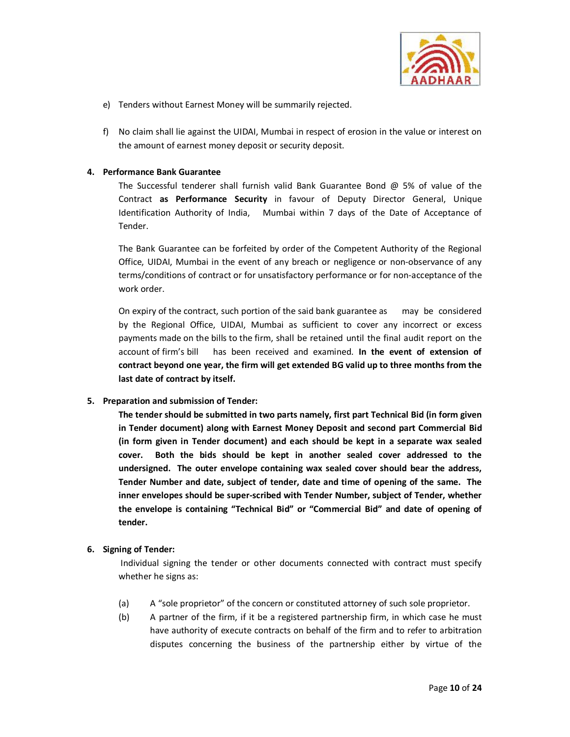

- e) Tenders without Earnest Money will be summarily rejected.
- f) No claim shall lie against the UIDAI, Mumbai in respect of erosion in the value or interest on the amount of earnest money deposit or security deposit.

#### **4. Performance Bank Guarantee**

The Successful tenderer shall furnish valid Bank Guarantee Bond  $\omega$  5% of value of the Contract **as Performance Security** in favour of Deputy Director General, Unique Identification Authority of India, Mumbai within 7 days of the Date of Acceptance of Tender.

The Bank Guarantee can be forfeited by order of the Competent Authority of the Regional Office, UIDAI, Mumbai in the event of any breach or negligence or non-observance of any terms/conditions of contract or for unsatisfactory performance or for non-acceptance of the work order.

On expiry of the contract, such portion of the said bank guarantee as may be considered by the Regional Office, UIDAI, Mumbai as sufficient to cover any incorrect or excess payments made on the bills to the firm, shall be retained until the final audit report on the account of firm's bill has been received and examined. **In the event of extension of contract beyond one year, the firm will get extended BG valid up to three months from the last date of contract by itself.** 

#### **5. Preparation and submission of Tender:**

**The tender should be submitted in two parts namely, first part Technical Bid (in form given in Tender document) along with Earnest Money Deposit and second part Commercial Bid (in form given in Tender document) and each should be kept in a separate wax sealed cover. Both the bids should be kept in another sealed cover addressed to the undersigned. The outer envelope containing wax sealed cover should bear the address, Tender Number and date, subject of tender, date and time of opening of the same. The inner envelopes should be super-scribed with Tender Number, subject of Tender, whether the envelope is containing "Technical Bid" or "Commercial Bid" and date of opening of tender.** 

## **6. Signing of Tender:**

 Individual signing the tender or other documents connected with contract must specify whether he signs as:

- (a) A "sole proprietor" of the concern or constituted attorney of such sole proprietor.
- (b) A partner of the firm, if it be a registered partnership firm, in which case he must have authority of execute contracts on behalf of the firm and to refer to arbitration disputes concerning the business of the partnership either by virtue of the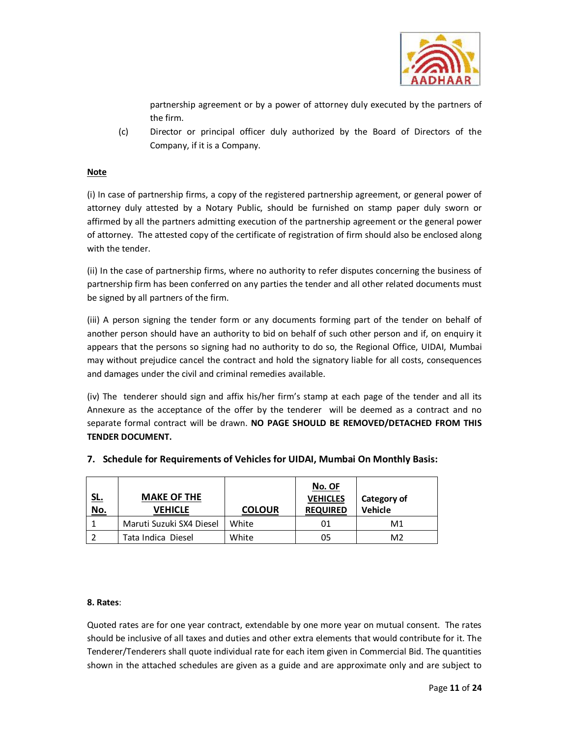

partnership agreement or by a power of attorney duly executed by the partners of the firm.

(c) Director or principal officer duly authorized by the Board of Directors of the Company, if it is a Company.

## **Note**

(i) In case of partnership firms, a copy of the registered partnership agreement, or general power of attorney duly attested by a Notary Public, should be furnished on stamp paper duly sworn or affirmed by all the partners admitting execution of the partnership agreement or the general power of attorney. The attested copy of the certificate of registration of firm should also be enclosed along with the tender.

(ii) In the case of partnership firms, where no authority to refer disputes concerning the business of partnership firm has been conferred on any parties the tender and all other related documents must be signed by all partners of the firm.

(iii) A person signing the tender form or any documents forming part of the tender on behalf of another person should have an authority to bid on behalf of such other person and if, on enquiry it appears that the persons so signing had no authority to do so, the Regional Office, UIDAI, Mumbai may without prejudice cancel the contract and hold the signatory liable for all costs, consequences and damages under the civil and criminal remedies available.

(iv) The tenderer should sign and affix his/her firm's stamp at each page of the tender and all its Annexure as the acceptance of the offer by the tenderer will be deemed as a contract and no separate formal contract will be drawn. **NO PAGE SHOULD BE REMOVED/DETACHED FROM THIS TENDER DOCUMENT.**

| <u>SL.</u> | <b>MAKE OF THE</b>       |               | No. OF<br><b>VEHICLES</b> | Category of    |
|------------|--------------------------|---------------|---------------------------|----------------|
| <u>No.</u> | <b>VEHICLE</b>           | <b>COLOUR</b> | <b>REQUIRED</b>           | Vehicle        |
|            | Maruti Suzuki SX4 Diesel | White         | 01                        | M1             |
|            | Tata Indica Diesel       | White         | 05                        | M <sub>2</sub> |

# **7. Schedule for Requirements of Vehicles for UIDAI, Mumbai On Monthly Basis:**

#### **8. Rates**:

Quoted rates are for one year contract, extendable by one more year on mutual consent. The rates should be inclusive of all taxes and duties and other extra elements that would contribute for it. The Tenderer/Tenderers shall quote individual rate for each item given in Commercial Bid. The quantities shown in the attached schedules are given as a guide and are approximate only and are subject to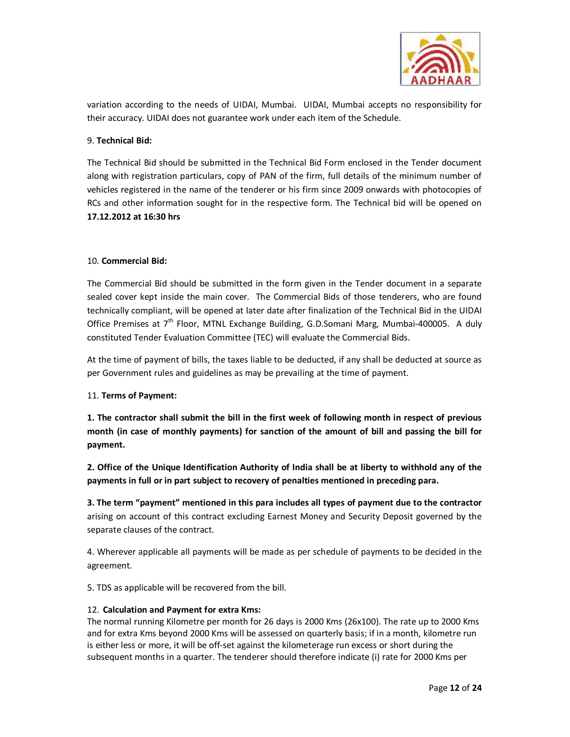

variation according to the needs of UIDAI, Mumbai. UIDAI, Mumbai accepts no responsibility for their accuracy. UIDAI does not guarantee work under each item of the Schedule.

## 9. **Technical Bid:**

The Technical Bid should be submitted in the Technical Bid Form enclosed in the Tender document along with registration particulars, copy of PAN of the firm, full details of the minimum number of vehicles registered in the name of the tenderer or his firm since 2009 onwards with photocopies of RCs and other information sought for in the respective form. The Technical bid will be opened on **17.12.2012 at 16:30 hrs** 

### 10. **Commercial Bid:**

The Commercial Bid should be submitted in the form given in the Tender document in a separate sealed cover kept inside the main cover. The Commercial Bids of those tenderers, who are found technically compliant, will be opened at later date after finalization of the Technical Bid in the UIDAI Office Premises at  $7<sup>th</sup>$  Floor, MTNL Exchange Building, G.D.Somani Marg, Mumbai-400005. A duly constituted Tender Evaluation Committee (TEC) will evaluate the Commercial Bids.

At the time of payment of bills, the taxes liable to be deducted, if any shall be deducted at source as per Government rules and guidelines as may be prevailing at the time of payment.

#### 11. **Terms of Payment:**

**1. The contractor shall submit the bill in the first week of following month in respect of previous month (in case of monthly payments) for sanction of the amount of bill and passing the bill for payment.** 

**2. Office of the Unique Identification Authority of India shall be at liberty to withhold any of the payments in full or in part subject to recovery of penalties mentioned in preceding para.** 

**3. The term "payment" mentioned in this para includes all types of payment due to the contractor** arising on account of this contract excluding Earnest Money and Security Deposit governed by the separate clauses of the contract.

4. Wherever applicable all payments will be made as per schedule of payments to be decided in the agreement.

5. TDS as applicable will be recovered from the bill.

#### 12. **Calculation and Payment for extra Kms:**

The normal running Kilometre per month for 26 days is 2000 Kms (26x100). The rate up to 2000 Kms and for extra Kms beyond 2000 Kms will be assessed on quarterly basis; if in a month, kilometre run is either less or more, it will be off-set against the kilometerage run excess or short during the subsequent months in a quarter. The tenderer should therefore indicate (i) rate for 2000 Kms per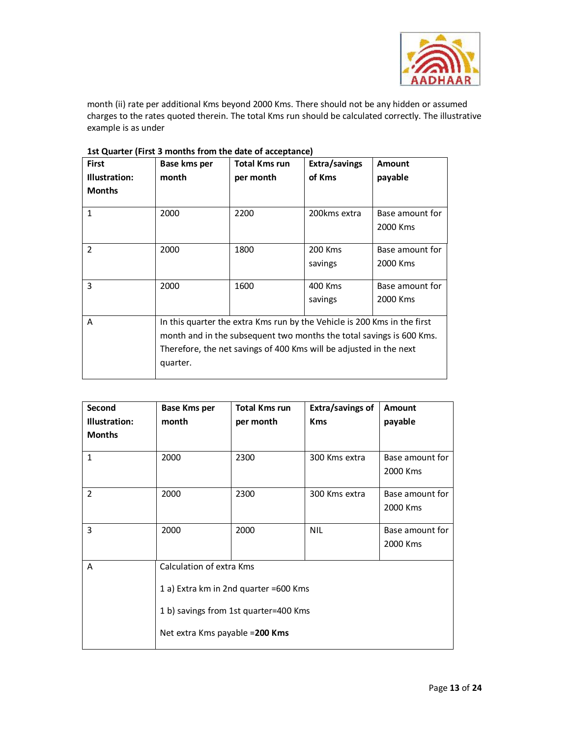

month (ii) rate per additional Kms beyond 2000 Kms. There should not be any hidden or assumed charges to the rates quoted therein. The total Kms run should be calculated correctly. The illustrative example is as under

| <b>First</b>   | Base kms per | <b>Total Kms run</b>                                                     | Extra/savings | <b>Amount</b>   |
|----------------|--------------|--------------------------------------------------------------------------|---------------|-----------------|
| Illustration:  | month        | per month                                                                | of Kms        | payable         |
| <b>Months</b>  |              |                                                                          |               |                 |
| $\mathbf{1}$   | 2000         | 2200                                                                     | 200kms extra  | Base amount for |
|                |              |                                                                          |               | 2000 Kms        |
| $\overline{2}$ | 2000         | 1800                                                                     | 200 Kms       | Base amount for |
|                |              |                                                                          | savings       | 2000 Kms        |
| 3              | 2000         | 1600                                                                     | 400 Kms       | Base amount for |
|                |              |                                                                          | savings       | 2000 Kms        |
| A              |              | In this quarter the extra Kms run by the Vehicle is 200 Kms in the first |               |                 |
|                |              | month and in the subsequent two months the total savings is 600 Kms.     |               |                 |
|                |              | Therefore, the net savings of 400 Kms will be adjusted in the next       |               |                 |
|                | quarter.     |                                                                          |               |                 |

## **1st Quarter (First 3 months from the date of acceptance)**

| Second<br>Illustration:<br><b>Months</b> | <b>Base Kms per</b><br>month                                                                                                                  | <b>Total Kms run</b><br>per month | Extra/savings of<br><b>Kms</b> | Amount<br>payable           |
|------------------------------------------|-----------------------------------------------------------------------------------------------------------------------------------------------|-----------------------------------|--------------------------------|-----------------------------|
| $\mathbf{1}$                             | 2000                                                                                                                                          | 2300                              | 300 Kms extra                  | Base amount for<br>2000 Kms |
| 2                                        | 2000                                                                                                                                          | 2300                              | 300 Kms extra                  | Base amount for<br>2000 Kms |
| 3                                        | 2000                                                                                                                                          | 2000                              | <b>NIL</b>                     | Base amount for<br>2000 Kms |
| A                                        | Calculation of extra Kms<br>1 a) Extra km in 2nd quarter =600 Kms<br>1 b) savings from 1st quarter=400 Kms<br>Net extra Kms payable = 200 Kms |                                   |                                |                             |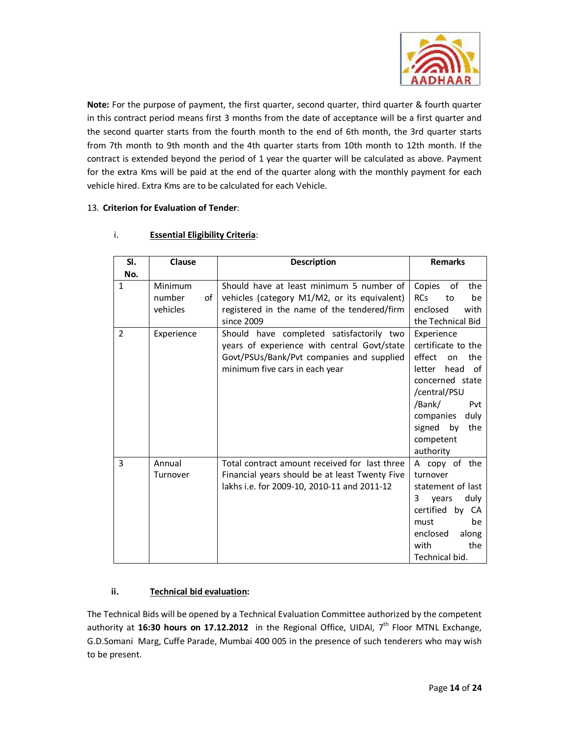

**Note:** For the purpose of payment, the first quarter, second quarter, third quarter & fourth quarter in this contract period means first 3 months from the date of acceptance will be a first quarter and the second quarter starts from the fourth month to the end of 6th month, the 3rd quarter starts from 7th month to 9th month and the 4th quarter starts from 10th month to 12th month. If the contract is extended beyond the period of 1 year the quarter will be calculated as above. Payment for the extra Kms will be paid at the end of the quarter along with the monthly payment for each vehicle hired. Extra Kms are to be calculated for each Vehicle.

### 13. **Criterion for Evaluation of Tender**:

| SI.            | Clause                              | <b>Description</b>                                                                                                                                                     | <b>Remarks</b>                                                                                                                                                                                      |
|----------------|-------------------------------------|------------------------------------------------------------------------------------------------------------------------------------------------------------------------|-----------------------------------------------------------------------------------------------------------------------------------------------------------------------------------------------------|
| No.            |                                     |                                                                                                                                                                        |                                                                                                                                                                                                     |
| 1              | Minimum<br>number<br>of<br>vehicles | Should have at least minimum 5 number of<br>vehicles (category M1/M2, or its equivalent)<br>registered in the name of the tendered/firm<br>since 2009                  | Copies<br>οf<br>the<br><b>RCs</b><br>to<br>be<br>with<br>enclosed<br>the Technical Bid                                                                                                              |
| $\overline{2}$ | Experience                          | Should have completed satisfactorily two<br>years of experience with central Govt/state<br>Govt/PSUs/Bank/Pvt companies and supplied<br>minimum five cars in each year | Experience<br>certificate to the<br>effect<br>the<br>on<br>letter<br>head of<br>concerned state<br>/central/PSU<br>/Bank/<br>Pvt<br>companies<br>duly<br>signed by<br>the<br>competent<br>authority |
| 3              | Annual<br>Turnover                  | Total contract amount received for last three<br>Financial years should be at least Twenty Five<br>lakhs i.e. for 2009-10, 2010-11 and 2011-12                         | A copy of the<br>turnover<br>statement of last<br>duly<br>3<br>vears<br>certified by CA<br>be<br>must<br>along<br>enclosed<br>the<br>with<br>Technical bid.                                         |

### i. **Essential Eligibility Criteria**:

## **ii. Technical bid evaluation:**

The Technical Bids will be opened by a Technical Evaluation Committee authorized by the competent authority at 16:30 hours on 17.12.2012 in the Regional Office, UIDAI, 7<sup>th</sup> Floor MTNL Exchange, G.D.Somani Marg, Cuffe Parade, Mumbai 400 005 in the presence of such tenderers who may wish to be present.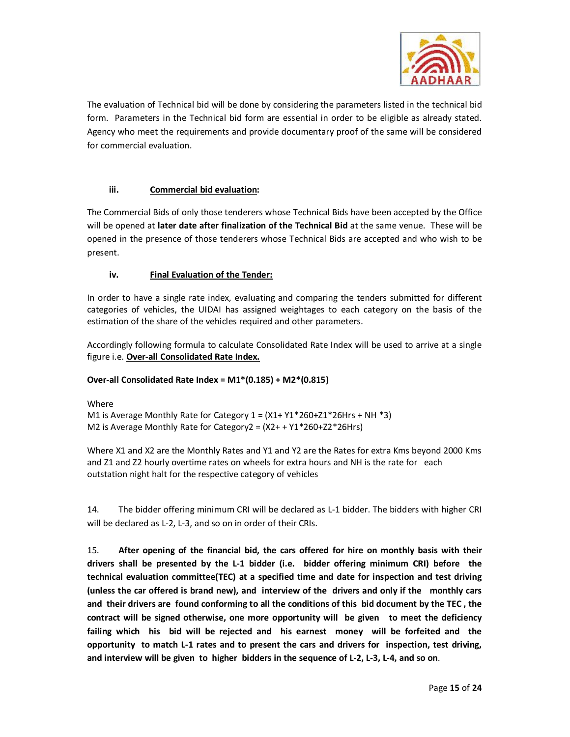

The evaluation of Technical bid will be done by considering the parameters listed in the technical bid form. Parameters in the Technical bid form are essential in order to be eligible as already stated. Agency who meet the requirements and provide documentary proof of the same will be considered for commercial evaluation.

## **iii. Commercial bid evaluation:**

The Commercial Bids of only those tenderers whose Technical Bids have been accepted by the Office will be opened at **later date after finalization of the Technical Bid** at the same venue. These will be opened in the presence of those tenderers whose Technical Bids are accepted and who wish to be present.

## **iv. Final Evaluation of the Tender:**

In order to have a single rate index, evaluating and comparing the tenders submitted for different categories of vehicles, the UIDAI has assigned weightages to each category on the basis of the estimation of the share of the vehicles required and other parameters.

Accordingly following formula to calculate Consolidated Rate Index will be used to arrive at a single figure i.e. **Over-all Consolidated Rate Index.**

## **Over-all Consolidated Rate Index = M1\*(0.185) + M2\*(0.815)**

Where

M1 is Average Monthly Rate for Category  $1 = (X1 + Y1 * 260 + Z1 * 26Hrs + NH * 3)$ M2 is Average Monthly Rate for Category2 = (X2+ + Y1\*260+Z2\*26Hrs)

Where X1 and X2 are the Monthly Rates and Y1 and Y2 are the Rates for extra Kms beyond 2000 Kms and Z1 and Z2 hourly overtime rates on wheels for extra hours and NH is the rate for each outstation night halt for the respective category of vehicles

14. The bidder offering minimum CRI will be declared as L-1 bidder. The bidders with higher CRI will be declared as L-2, L-3, and so on in order of their CRIs.

15. **After opening of the financial bid, the cars offered for hire on monthly basis with their drivers shall be presented by the L-1 bidder (i.e. bidder offering minimum CRI) before the technical evaluation committee(TEC) at a specified time and date for inspection and test driving (unless the car offered is brand new), and interview of the drivers and only if the monthly cars and their drivers are found conforming to all the conditions of this bid document by the TEC , the contract will be signed otherwise, one more opportunity will be given to meet the deficiency failing which his bid will be rejected and his earnest money will be forfeited and the opportunity to match L-1 rates and to present the cars and drivers for inspection, test driving, and interview will be given to higher bidders in the sequence of L-2, L-3, L-4, and so on**.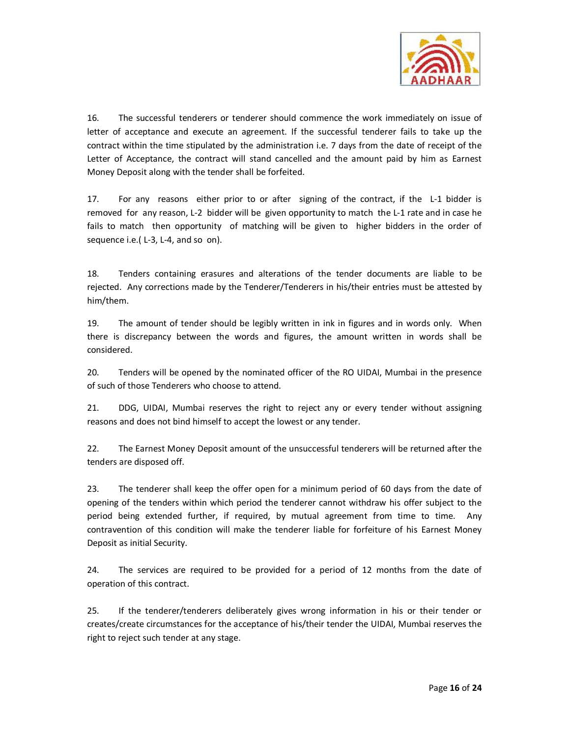

16. The successful tenderers or tenderer should commence the work immediately on issue of letter of acceptance and execute an agreement. If the successful tenderer fails to take up the contract within the time stipulated by the administration i.e. 7 days from the date of receipt of the Letter of Acceptance, the contract will stand cancelled and the amount paid by him as Earnest Money Deposit along with the tender shall be forfeited.

17. For any reasons either prior to or after signing of the contract, if the L-1 bidder is removed for any reason, L-2 bidder will be given opportunity to match the L-1 rate and in case he fails to match then opportunity of matching will be given to higher bidders in the order of sequence i.e.( L-3, L-4, and so on).

18. Tenders containing erasures and alterations of the tender documents are liable to be rejected. Any corrections made by the Tenderer/Tenderers in his/their entries must be attested by him/them.

19. The amount of tender should be legibly written in ink in figures and in words only. When there is discrepancy between the words and figures, the amount written in words shall be considered.

20. Tenders will be opened by the nominated officer of the RO UIDAI, Mumbai in the presence of such of those Tenderers who choose to attend.

21. DDG, UIDAI, Mumbai reserves the right to reject any or every tender without assigning reasons and does not bind himself to accept the lowest or any tender.

22. The Earnest Money Deposit amount of the unsuccessful tenderers will be returned after the tenders are disposed off.

23. The tenderer shall keep the offer open for a minimum period of 60 days from the date of opening of the tenders within which period the tenderer cannot withdraw his offer subject to the period being extended further, if required, by mutual agreement from time to time. Any contravention of this condition will make the tenderer liable for forfeiture of his Earnest Money Deposit as initial Security.

24. The services are required to be provided for a period of 12 months from the date of operation of this contract.

25. If the tenderer/tenderers deliberately gives wrong information in his or their tender or creates/create circumstances for the acceptance of his/their tender the UIDAI, Mumbai reserves the right to reject such tender at any stage.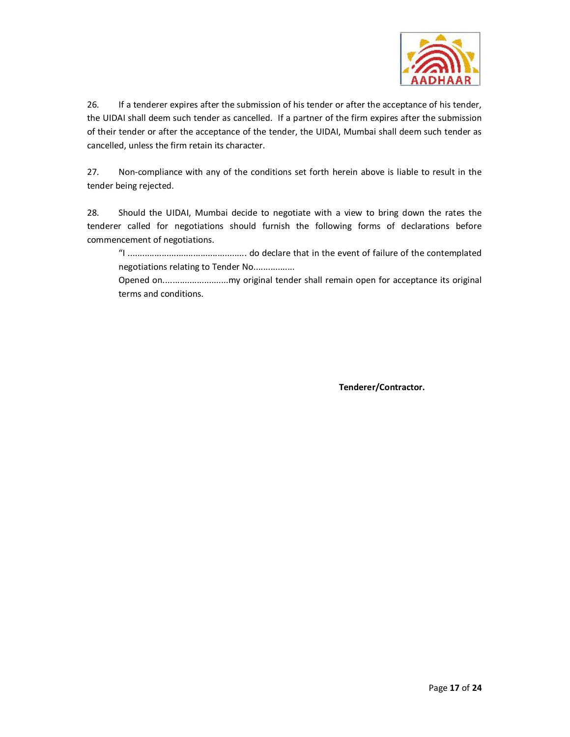

26. If a tenderer expires after the submission of his tender or after the acceptance of his tender, the UIDAI shall deem such tender as cancelled. If a partner of the firm expires after the submission of their tender or after the acceptance of the tender, the UIDAI, Mumbai shall deem such tender as cancelled, unless the firm retain its character.

27. Non-compliance with any of the conditions set forth herein above is liable to result in the tender being rejected.

28. Should the UIDAI, Mumbai decide to negotiate with a view to bring down the rates the tenderer called for negotiations should furnish the following forms of declarations before commencement of negotiations.

"I ................................................. do declare that in the event of failure of the contemplated negotiations relating to Tender No.................

Opened on...........................my original tender shall remain open for acceptance its original terms and conditions.

**Tenderer/Contractor.**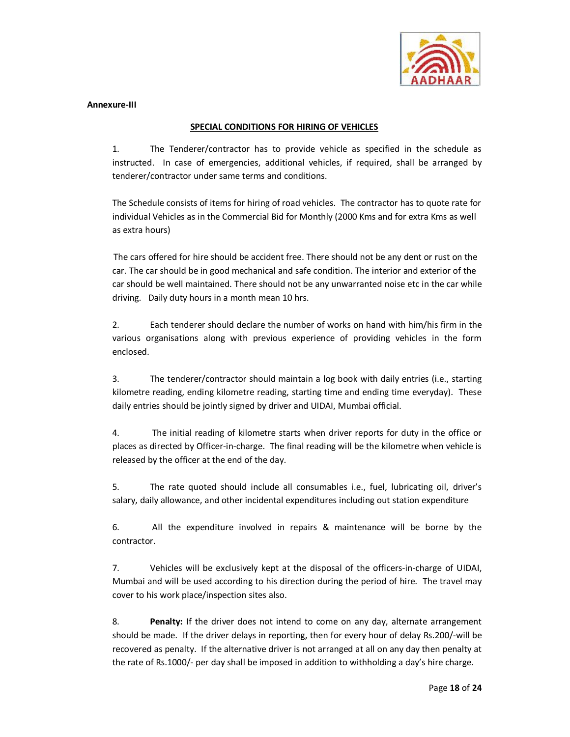

#### **Annexure-III**

#### **SPECIAL CONDITIONS FOR HIRING OF VEHICLES**

1. The Tenderer/contractor has to provide vehicle as specified in the schedule as instructed. In case of emergencies, additional vehicles, if required, shall be arranged by tenderer/contractor under same terms and conditions.

The Schedule consists of items for hiring of road vehicles. The contractor has to quote rate for individual Vehicles as in the Commercial Bid for Monthly (2000 Kms and for extra Kms as well as extra hours)

The cars offered for hire should be accident free. There should not be any dent or rust on the car. The car should be in good mechanical and safe condition. The interior and exterior of the car should be well maintained. There should not be any unwarranted noise etc in the car while driving. Daily duty hours in a month mean 10 hrs.

2. Each tenderer should declare the number of works on hand with him/his firm in the various organisations along with previous experience of providing vehicles in the form enclosed.

3. The tenderer/contractor should maintain a log book with daily entries (i.e., starting kilometre reading, ending kilometre reading, starting time and ending time everyday). These daily entries should be jointly signed by driver and UIDAI, Mumbai official.

4. The initial reading of kilometre starts when driver reports for duty in the office or places as directed by Officer-in-charge. The final reading will be the kilometre when vehicle is released by the officer at the end of the day.

5. The rate quoted should include all consumables i.e., fuel, lubricating oil, driver's salary, daily allowance, and other incidental expenditures including out station expenditure

6. All the expenditure involved in repairs & maintenance will be borne by the contractor.

7. Vehicles will be exclusively kept at the disposal of the officers-in-charge of UIDAI, Mumbai and will be used according to his direction during the period of hire. The travel may cover to his work place/inspection sites also.

8. **Penalty:** If the driver does not intend to come on any day, alternate arrangement should be made. If the driver delays in reporting, then for every hour of delay Rs.200/-will be recovered as penalty. If the alternative driver is not arranged at all on any day then penalty at the rate of Rs.1000/- per day shall be imposed in addition to withholding a day's hire charge.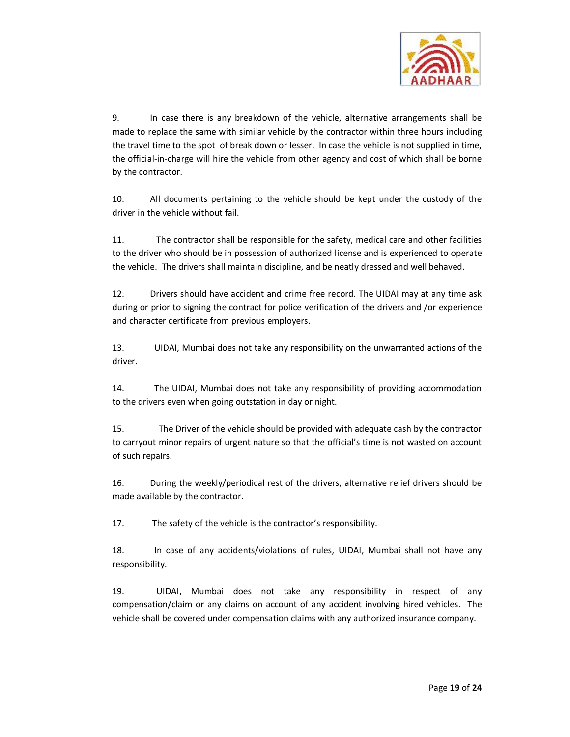

9. In case there is any breakdown of the vehicle, alternative arrangements shall be made to replace the same with similar vehicle by the contractor within three hours including the travel time to the spot of break down or lesser. In case the vehicle is not supplied in time, the official-in-charge will hire the vehicle from other agency and cost of which shall be borne by the contractor.

10. All documents pertaining to the vehicle should be kept under the custody of the driver in the vehicle without fail.

11. The contractor shall be responsible for the safety, medical care and other facilities to the driver who should be in possession of authorized license and is experienced to operate the vehicle. The drivers shall maintain discipline, and be neatly dressed and well behaved.

12. Drivers should have accident and crime free record. The UIDAI may at any time ask during or prior to signing the contract for police verification of the drivers and /or experience and character certificate from previous employers.

13. UIDAI, Mumbai does not take any responsibility on the unwarranted actions of the driver.

14. The UIDAI, Mumbai does not take any responsibility of providing accommodation to the drivers even when going outstation in day or night.

15. The Driver of the vehicle should be provided with adequate cash by the contractor to carryout minor repairs of urgent nature so that the official's time is not wasted on account of such repairs.

16. During the weekly/periodical rest of the drivers, alternative relief drivers should be made available by the contractor.

17. The safety of the vehicle is the contractor's responsibility.

18. In case of any accidents/violations of rules, UIDAI, Mumbai shall not have any responsibility.

19. UIDAI, Mumbai does not take any responsibility in respect of any compensation/claim or any claims on account of any accident involving hired vehicles. The vehicle shall be covered under compensation claims with any authorized insurance company.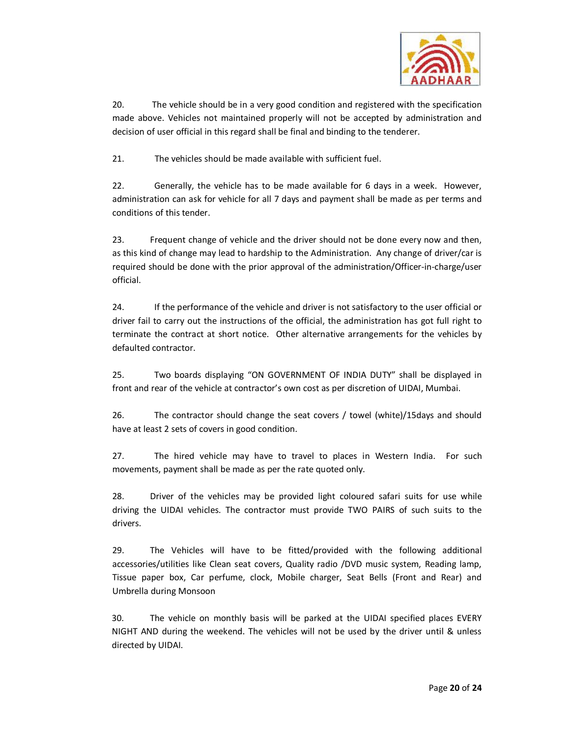

20. The vehicle should be in a very good condition and registered with the specification made above. Vehicles not maintained properly will not be accepted by administration and decision of user official in this regard shall be final and binding to the tenderer.

21. The vehicles should be made available with sufficient fuel.

22. Generally, the vehicle has to be made available for 6 days in a week. However, administration can ask for vehicle for all 7 days and payment shall be made as per terms and conditions of this tender.

23. Frequent change of vehicle and the driver should not be done every now and then, as this kind of change may lead to hardship to the Administration. Any change of driver/car is required should be done with the prior approval of the administration/Officer-in-charge/user official.

24. If the performance of the vehicle and driver is not satisfactory to the user official or driver fail to carry out the instructions of the official, the administration has got full right to terminate the contract at short notice. Other alternative arrangements for the vehicles by defaulted contractor.

25. Two boards displaying "ON GOVERNMENT OF INDIA DUTY" shall be displayed in front and rear of the vehicle at contractor's own cost as per discretion of UIDAI, Mumbai.

26. The contractor should change the seat covers / towel (white)/15days and should have at least 2 sets of covers in good condition.

27. The hired vehicle may have to travel to places in Western India. For such movements, payment shall be made as per the rate quoted only.

28. Driver of the vehicles may be provided light coloured safari suits for use while driving the UIDAI vehicles. The contractor must provide TWO PAIRS of such suits to the drivers.

29. The Vehicles will have to be fitted/provided with the following additional accessories/utilities like Clean seat covers, Quality radio /DVD music system, Reading lamp, Tissue paper box, Car perfume, clock, Mobile charger, Seat Bells (Front and Rear) and Umbrella during Monsoon

30. The vehicle on monthly basis will be parked at the UIDAI specified places EVERY NIGHT AND during the weekend. The vehicles will not be used by the driver until & unless directed by UIDAI.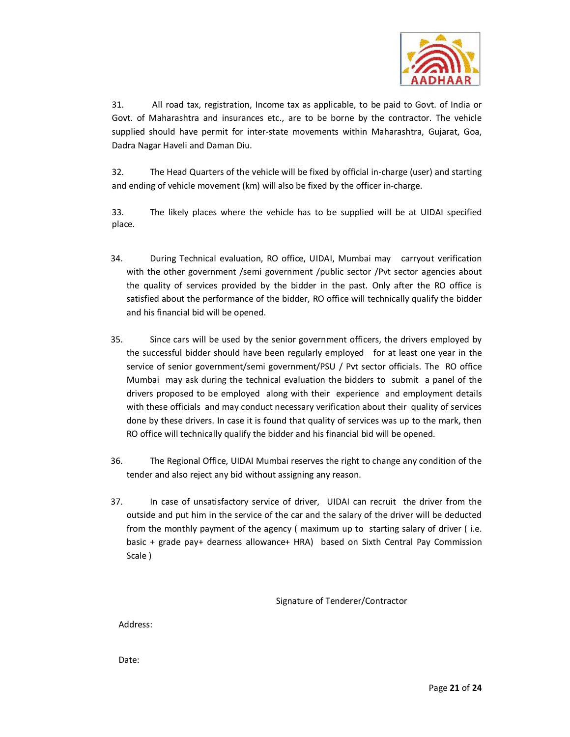

31. All road tax, registration, Income tax as applicable, to be paid to Govt. of India or Govt. of Maharashtra and insurances etc., are to be borne by the contractor. The vehicle supplied should have permit for inter-state movements within Maharashtra, Gujarat, Goa, Dadra Nagar Haveli and Daman Diu.

32. The Head Quarters of the vehicle will be fixed by official in-charge (user) and starting and ending of vehicle movement (km) will also be fixed by the officer in-charge.

33. The likely places where the vehicle has to be supplied will be at UIDAI specified place.

- 34. During Technical evaluation, RO office, UIDAI, Mumbai may carryout verification with the other government /semi government /public sector /Pvt sector agencies about the quality of services provided by the bidder in the past. Only after the RO office is satisfied about the performance of the bidder, RO office will technically qualify the bidder and his financial bid will be opened.
- 35. Since cars will be used by the senior government officers, the drivers employed by the successful bidder should have been regularly employed for at least one year in the service of senior government/semi government/PSU / Pvt sector officials. The RO office Mumbai may ask during the technical evaluation the bidders to submit a panel of the drivers proposed to be employed along with their experience and employment details with these officials and may conduct necessary verification about their quality of services done by these drivers. In case it is found that quality of services was up to the mark, then RO office will technically qualify the bidder and his financial bid will be opened.
- 36. The Regional Office, UIDAI Mumbai reserves the right to change any condition of the tender and also reject any bid without assigning any reason.
- 37. In case of unsatisfactory service of driver, UIDAI can recruit the driver from the outside and put him in the service of the car and the salary of the driver will be deducted from the monthly payment of the agency ( maximum up to starting salary of driver ( i.e. basic + grade pay+ dearness allowance+ HRA) based on Sixth Central Pay Commission Scale )

Signature of Tenderer/Contractor

Address:

Date: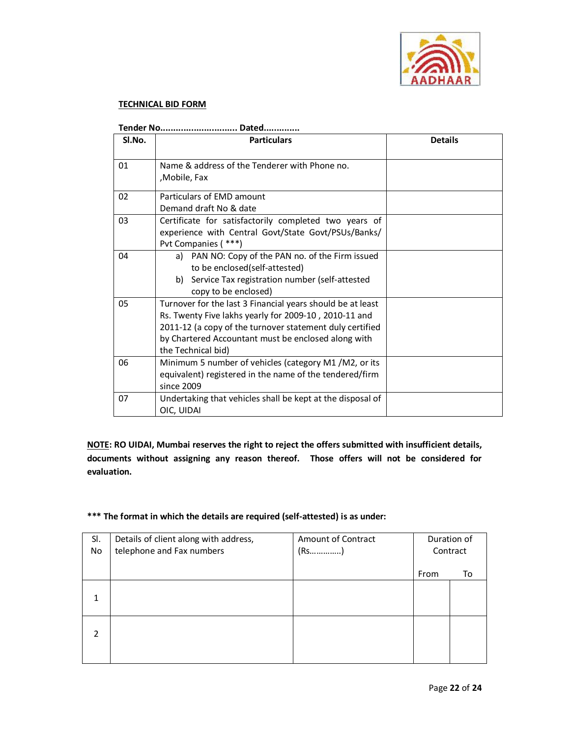

## **TECHNICAL BID FORM**

| SI.No. | <b>Particulars</b>                                                                                                                                                                                                                                           | <b>Details</b> |
|--------|--------------------------------------------------------------------------------------------------------------------------------------------------------------------------------------------------------------------------------------------------------------|----------------|
| 01     | Name & address of the Tenderer with Phone no.<br>,Mobile, Fax                                                                                                                                                                                                |                |
| 02     | Particulars of EMD amount<br>Demand draft No & date                                                                                                                                                                                                          |                |
| 03     | Certificate for satisfactorily completed two years of<br>experience with Central Govt/State Govt/PSUs/Banks/<br>Pvt Companies (***)                                                                                                                          |                |
| 04     | a) PAN NO: Copy of the PAN no. of the Firm issued<br>to be enclosed(self-attested)<br>b) Service Tax registration number (self-attested<br>copy to be enclosed)                                                                                              |                |
| 05     | Turnover for the last 3 Financial years should be at least<br>Rs. Twenty Five lakhs yearly for 2009-10, 2010-11 and<br>2011-12 (a copy of the turnover statement duly certified<br>by Chartered Accountant must be enclosed along with<br>the Technical bid) |                |
| 06     | Minimum 5 number of vehicles (category M1/M2, or its<br>equivalent) registered in the name of the tendered/firm<br>since 2009                                                                                                                                |                |
| 07     | Undertaking that vehicles shall be kept at the disposal of<br>OIC, UIDAI                                                                                                                                                                                     |                |

**Tender No.............................. Dated..............** 

**NOTE: RO UIDAI, Mumbai reserves the right to reject the offers submitted with insufficient details, documents without assigning any reason thereof. Those offers will not be considered for evaluation.** 

## **\*\*\* The format in which the details are required (self-attested) is as under:**

| SI.           | Details of client along with address, | Amount of Contract |      | Duration of |
|---------------|---------------------------------------|--------------------|------|-------------|
| No            | telephone and Fax numbers             |                    |      | Contract    |
|               |                                       |                    | From | то          |
| 1             |                                       |                    |      |             |
| $\mathcal{P}$ |                                       |                    |      |             |
|               |                                       |                    |      |             |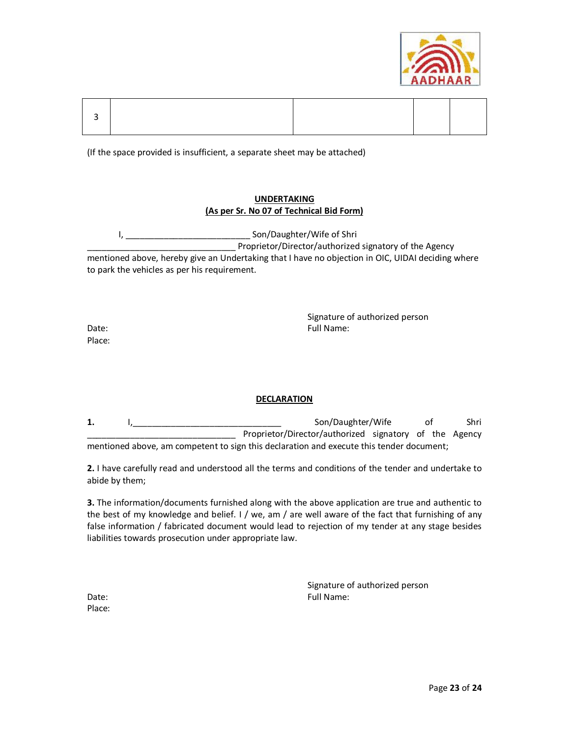

(If the space provided is insufficient, a separate sheet may be attached)

## **UNDERTAKING (As per Sr. No 07 of Technical Bid Form)**

I, metallic and the Son/Daughter/Wife of Shri Proprietor/Director/authorized signatory of the Agency mentioned above, hereby give an Undertaking that I have no objection in OIC, UIDAI deciding where to park the vehicles as per his requirement.

Signature of authorized person Date: Eull Name: Eull Name: Eull Name: Eull Name: Eull Name: Eull Name: Eull Name: Eull Name: Eull Name: Eull Name: Eull Name: Eull Name: Eull Name: Eull Name: Eull Name: Eull Name: Eull Name: Eull Name: Eull Name: Eull Na

Place:

## **DECLARATION**

**1.** I,\_\_\_\_\_\_\_\_\_\_\_\_\_\_\_\_\_\_\_\_\_\_\_\_\_\_\_\_\_\_\_ Son/Daughter/Wife of Shri Proprietor/Director/authorized signatory of the Agency mentioned above, am competent to sign this declaration and execute this tender document;

**2.** I have carefully read and understood all the terms and conditions of the tender and undertake to abide by them;

**3.** The information/documents furnished along with the above application are true and authentic to the best of my knowledge and belief. I / we, am / are well aware of the fact that furnishing of any false information / fabricated document would lead to rejection of my tender at any stage besides liabilities towards prosecution under appropriate law.

|       | Signature of authorized person |
|-------|--------------------------------|
| Date: | Full Name:                     |

Place: